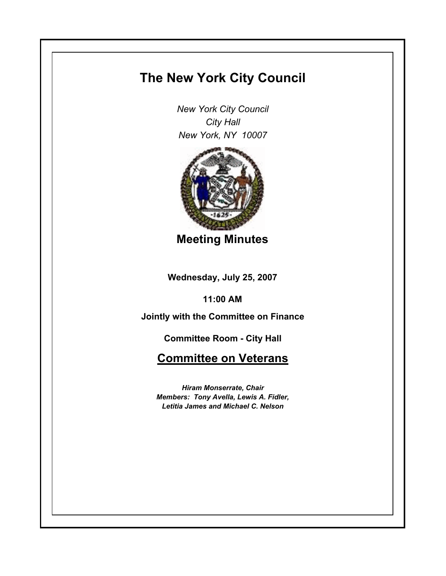## **The New York City Council**

*New York City Council City Hall New York, NY 10007*



**Meeting Minutes**

**Wednesday, July 25, 2007**

**11:00 AM**

**Jointly with the Committee on Finance**

**Committee Room - City Hall**

**Committee on Veterans**

*Hiram Monserrate, Chair Members: Tony Avella, Lewis A. Fidler, Letitia James and Michael C. Nelson*